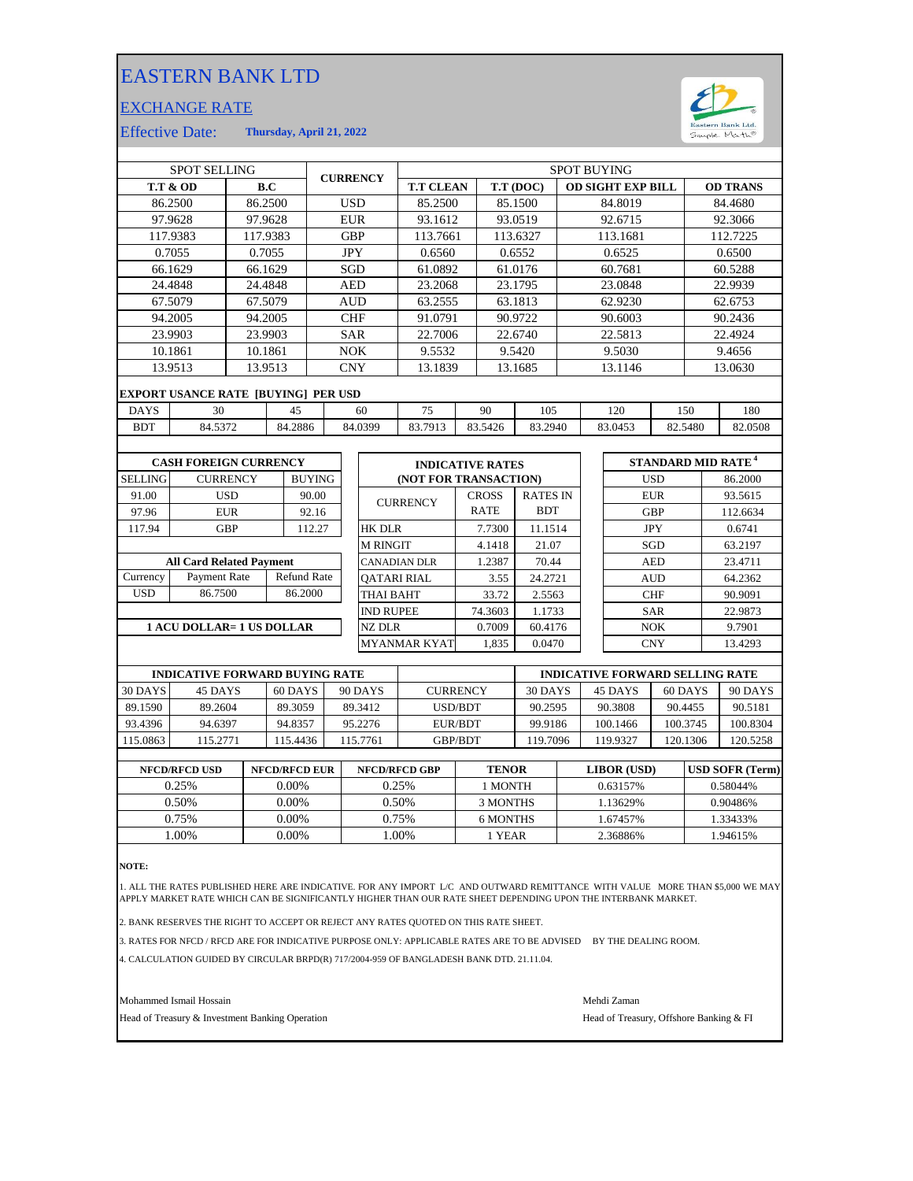## EASTERN BANK LTD

## EXCHANGE RATE



Effective Date: **Thursday, April 21, 2022**

| <b>SPOT SELLING</b>                                |                                            |                      |          | <b>CURRENCY</b> |            | <b>SPOT BUYING</b>  |                    |                         |                       |              |                 |         |                                      |            |         |                 |         |
|----------------------------------------------------|--------------------------------------------|----------------------|----------|-----------------|------------|---------------------|--------------------|-------------------------|-----------------------|--------------|-----------------|---------|--------------------------------------|------------|---------|-----------------|---------|
| <b>T.T &amp; OD</b>                                |                                            |                      | B.C      |                 |            |                     |                    | <b>T.T CLEAN</b>        |                       | T.T (DOC)    |                 |         | <b>OD SIGHT EXP BILL</b>             |            |         | <b>OD TRANS</b> |         |
| 86.2500                                            |                                            |                      | 86.2500  |                 | <b>USD</b> |                     | 85.2500            |                         |                       | 85.1500      |                 | 84.8019 |                                      |            | 84.4680 |                 |         |
| 97.9628                                            |                                            |                      | 97.9628  |                 | <b>EUR</b> |                     |                    | 93.1612                 |                       | 93.0519      |                 | 92.6715 |                                      |            | 92.3066 |                 |         |
| 117.9383                                           |                                            |                      | 117.9383 |                 | <b>GBP</b> |                     | 113.7661           |                         | 113.6327              |              | 113.1681        |         |                                      | 112.7225   |         |                 |         |
| 0.7055                                             |                                            |                      | 0.7055   |                 | <b>JPY</b> |                     |                    | 0.6560                  |                       | 0.6552       |                 | 0.6525  |                                      |            | 0.6500  |                 |         |
| 66.1629                                            |                                            | 66.1629              |          |                 | SGD        |                     | 61.0892            |                         | 61.0176               |              |                 | 60.7681 |                                      |            | 60.5288 |                 |         |
|                                                    | 24.4848                                    | 24.4848              |          |                 | <b>AED</b> |                     |                    | 23.2068                 |                       | 23.1795      |                 | 23.0848 |                                      |            | 22.9939 |                 |         |
|                                                    | 67.5079                                    | 67.5079              |          |                 | <b>AUD</b> |                     | 63.2555            |                         | 63.1813               |              |                 | 62.9230 |                                      |            |         | 62.6753         |         |
|                                                    | 94.2005                                    |                      | 94.2005  |                 | <b>CHF</b> |                     | 91.0791            |                         |                       | 90.9722      |                 |         | 90.6003                              |            | 90.2436 |                 |         |
| 23.9903                                            |                                            | 23.9903              |          |                 |            | <b>SAR</b>          |                    | 22.7006                 |                       |              | 22.6740         |         |                                      | 22.5813    |         | 22.4924         |         |
|                                                    | 10.1861                                    |                      | 10.1861  |                 | <b>NOK</b> |                     |                    | 9.5532                  |                       | 9.5420       |                 |         | 9.5030                               |            |         | 9.4656          |         |
| 13.9513                                            |                                            |                      | 13.9513  |                 | <b>CNY</b> |                     |                    | 13.1839                 |                       |              | 13.1685         | 13.1146 |                                      |            | 13.0630 |                 |         |
|                                                    | <b>EXPORT USANCE RATE [BUYING] PER USD</b> |                      |          |                 |            |                     |                    |                         |                       |              |                 |         |                                      |            |         |                 |         |
| <b>DAYS</b>                                        | 30<br>45                                   |                      |          |                 | 60         |                     | 75                 |                         | 90                    | 105          |                 |         | 120                                  | 150        |         | 180             |         |
| <b>BDT</b>                                         | 84.5372                                    |                      | 84.2886  |                 | 84.0399    |                     | 83.7913            |                         | 83.5426               | 83.2940      |                 |         | 83.0453                              | 82.5480    |         | 82.0508         |         |
|                                                    |                                            |                      |          |                 |            |                     |                    |                         |                       |              |                 |         |                                      |            |         |                 |         |
| <b>CASH FOREIGN CURRENCY</b>                       |                                            |                      |          |                 |            |                     |                    | <b>INDICATIVE RATES</b> |                       |              |                 |         | <b>STANDARD MID RATE<sup>4</sup></b> |            |         |                 |         |
| <b>SELLING</b><br><b>CURRENCY</b><br><b>BUYING</b> |                                            |                      |          |                 |            |                     |                    |                         | (NOT FOR TRANSACTION) |              |                 |         | <b>USD</b>                           |            |         | 86.2000         |         |
| 91.00                                              |                                            | <b>USD</b>           |          | 90.00           |            |                     |                    |                         |                       | <b>CROSS</b> | <b>RATES IN</b> |         |                                      | <b>EUR</b> |         | 93.5615         |         |
| 97.96                                              |                                            | <b>EUR</b>           |          |                 | 92.16      |                     | <b>CURRENCY</b>    |                         |                       | <b>RATE</b>  | <b>BDT</b>      |         |                                      | <b>GBP</b> |         | 112.6634        |         |
| 117.94                                             |                                            | <b>GBP</b><br>112.27 |          |                 |            | <b>HK DLR</b>       |                    |                         | 7.7300                | 11.1514      |                 |         | <b>JPY</b>                           |            |         | 0.6741          |         |
|                                                    |                                            |                      |          |                 |            | <b>M RINGIT</b>     |                    |                         | 4.1418                | 21.07        |                 |         | SGD                                  |            | 63.2197 |                 |         |
| <b>All Card Related Payment</b>                    |                                            |                      |          |                 |            | <b>CANADIAN DLR</b> |                    |                         | 1.2387                | 70.44        |                 |         |                                      | <b>AED</b> |         | 23.4711         |         |
| Currency                                           | <b>Refund Rate</b><br>Payment Rate         |                      |          |                 |            |                     | <b>OATARI RIAL</b> |                         |                       | 3.55         | 24.2721         |         |                                      | <b>AUD</b> |         |                 | 64.2362 |
| <b>USD</b>                                         | 86.7500                                    | 86.2000              |          |                 |            |                     | <b>THAI BAHT</b>   |                         |                       | 33.72        | 2.5563          |         |                                      | <b>CHF</b> |         | 90.9091         |         |
|                                                    |                                            |                      |          |                 |            |                     | <b>IND RUPEE</b>   |                         |                       | 74.3603      | 1.1733          |         |                                      | <b>SAR</b> |         | 22.9873         |         |
| 1 ACU DOLLAR= 1 US DOLLAR                          |                                            |                      |          |                 |            | <b>NZ DLR</b>       |                    |                         | 0.7009                | 60.4176      |                 |         | NOK                                  |            | 9.7901  |                 |         |

|          | <b>INDICATIVE FORWARD BUYING RATE</b> |          |          |                 | <b>INDICATIVE FORWARD SELLING RATE</b> |          |          |          |  |  |
|----------|---------------------------------------|----------|----------|-----------------|----------------------------------------|----------|----------|----------|--|--|
| 30 DAYS  | 45 DAYS                               | 60 DAYS  | 90 DAYS  | <b>CURRENCY</b> | 30 DAYS                                | 45 DAYS  | 60 DAYS  | 90 DAYS  |  |  |
| 89.1590  | 89.2604                               | 89.3059  | 89.3412  | USD/BDT         | 90.2595                                | 90.3808  | 90.4455  | 90.5181  |  |  |
| 93.4396  | 94.6397                               | 94.8357  | 95.2276  | EUR/BDT         | 99.9186                                | 100.1466 | 100.3745 | 100.8304 |  |  |
| 115.0863 | 115.2771                              | 115.4436 | 115.7761 | <b>GBP/BDT</b>  | 119.7096                               | 119.9327 | 120.1306 | 120.5258 |  |  |
|          |                                       |          |          |                 |                                        |          |          |          |  |  |

MYANMAR KYAT 1,835 0.0470

| <b>NFCD/RFCD USD</b> | <b>NFCD/RFCD EUR</b> | <b>NFCD/RFCD GBP</b> | <b>TENOR</b> | LIBOR (USD) | <b>USD SOFR (Term)</b> |
|----------------------|----------------------|----------------------|--------------|-------------|------------------------|
| 0.25%                | $0.00\%$             | 0.25%                | 1 MONTH      | 0.63157%    | 0.58044%               |
| 0.50%                | $0.00\%$             | 0.50%                | 3 MONTHS     | 1.13629%    | 0.90486%               |
| 0.75%                | $0.00\%$             | 0.75%                | 6 MONTHS     | .67457%     | 1.33433%               |
| .00%                 | 0.00%                | .00%                 | 1 YEAR       | 2.36886%    | 1.94615%               |
|                      |                      |                      |              |             |                        |

**NOTE:**

1. ALL THE RATES PUBLISHED HERE ARE INDICATIVE. FOR ANY IMPORT L/C AND OUTWARD REMITTANCE WITH VALUE MORE THAN \$5,000 WE MAY APPLY MARKET RATE WHICH CAN BE SIGNIFICANTLY HIGHER THAN OUR RATE SHEET DEPENDING UPON THE INTERBANK MARKET.

2. BANK RESERVES THE RIGHT TO ACCEPT OR REJECT ANY RATES QUOTED ON THIS RATE SHEET.

3. RATES FOR NFCD / RFCD ARE FOR INDICATIVE PURPOSE ONLY: APPLICABLE RATES ARE TO BE ADVISED BY THE DEALING ROOM.

4. CALCULATION GUIDED BY CIRCULAR BRPD(R) 717/2004-959 OF BANGLADESH BANK DTD. 21.11.04.

Mohammed Ismail Hossain Mehdi Zaman

Head of Treasury & Investment Banking Operation **Head of Treasury, Offshore Banking & FI** 

CNY 13.4293